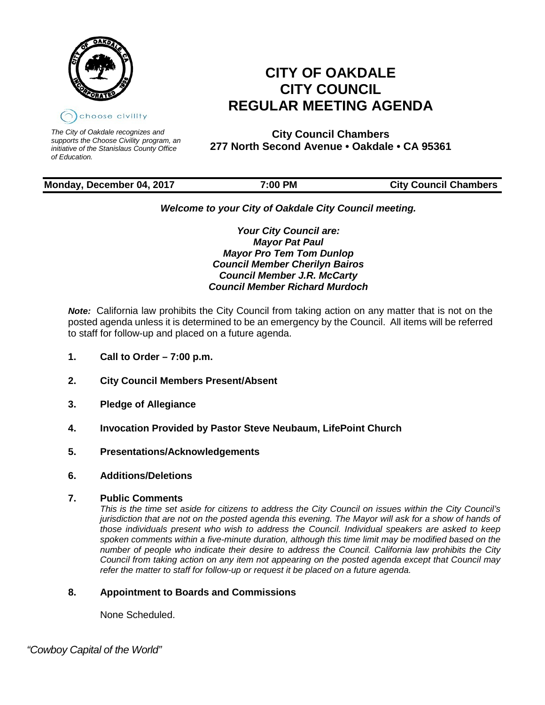

*The City of Oakdale recognizes and supports the Choose Civility program, an initiative of the Stanislaus County Office of Education.*

# **CITY OF OAKDALE CITY COUNCIL REGULAR MEETING AGENDA**

**City Council Chambers 277 North Second Avenue • Oakdale • CA 95361**

# **Monday, December 04, 2017 7:00 PM City Council Chambers**

# *Welcome to your City of Oakdale City Council meeting.*

*Your City Council are: Mayor Pat Paul Mayor Pro Tem Tom Dunlop Council Member Cherilyn Bairos Council Member J.R. McCarty Council Member Richard Murdoch*

*Note:* California law prohibits the City Council from taking action on any matter that is not on the posted agenda unless it is determined to be an emergency by the Council. All items will be referred to staff for follow-up and placed on a future agenda.

- **1. Call to Order – 7:00 p.m.**
- **2. City Council Members Present/Absent**
- **3. Pledge of Allegiance**
- **4. Invocation Provided by Pastor Steve Neubaum, LifePoint Church**
- **5. Presentations/Acknowledgements**
- **6. Additions/Deletions**
- **7. Public Comments**

*This is the time set aside for citizens to address the City Council on issues within the City Council's jurisdiction that are not on the posted agenda this evening. The Mayor will ask for a show of hands of those individuals present who wish to address the Council. Individual speakers are asked to keep spoken comments within a five-minute duration, although this time limit may be modified based on the number of people who indicate their desire to address the Council. California law prohibits the City Council from taking action on any item not appearing on the posted agenda except that Council may refer the matter to staff for follow-up or request it be placed on a future agenda.*

# **8. Appointment to Boards and Commissions**

None Scheduled.

 *"Cowboy Capital of the World"*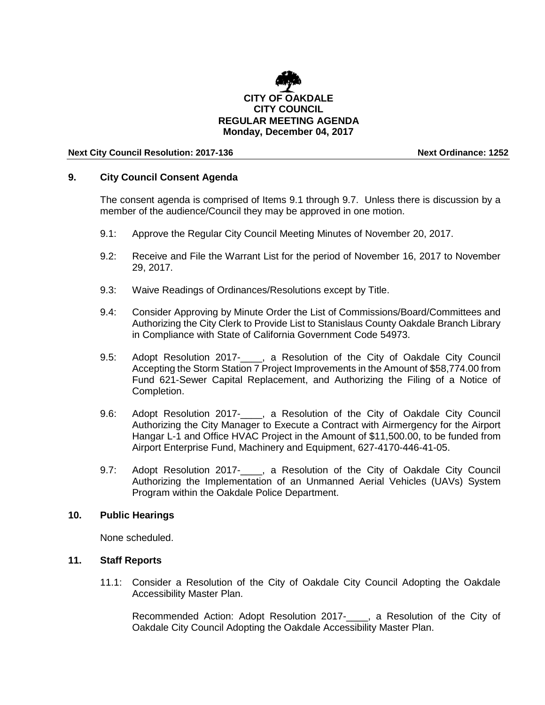

#### **Next City Council Resolution: 2017-136 Next Ordinance: 1252**

# **9. City Council Consent Agenda**

The consent agenda is comprised of Items 9.1 through 9.7. Unless there is discussion by a member of the audience/Council they may be approved in one motion.

- 9.1: Approve the Regular City Council Meeting Minutes of November 20, 2017.
- 9.2: Receive and File the Warrant List for the period of November 16, 2017 to November 29, 2017.
- 9.3: Waive Readings of Ordinances/Resolutions except by Title.
- 9.4: Consider Approving by Minute Order the List of Commissions/Board/Committees and Authorizing the City Clerk to Provide List to Stanislaus County Oakdale Branch Library in Compliance with State of California Government Code 54973.
- 9.5: Adopt Resolution 2017-<br>
<sub>,</sub> a Resolution of the City of Oakdale City Council Accepting the Storm Station 7 Project Improvements in the Amount of \$58,774.00 from Fund 621-Sewer Capital Replacement, and Authorizing the Filing of a Notice of Completion.
- 9.6: Adopt Resolution 2017-\_\_\_\_, a Resolution of the City of Oakdale City Council Authorizing the City Manager to Execute a Contract with Airmergency for the Airport Hangar L-1 and Office HVAC Project in the Amount of \$11,500.00, to be funded from Airport Enterprise Fund, Machinery and Equipment, 627-4170-446-41-05.
- 9.7: Adopt Resolution 2017-\_\_\_\_, a Resolution of the City of Oakdale City Council Authorizing the Implementation of an Unmanned Aerial Vehicles (UAVs) System Program within the Oakdale Police Department.

#### **10. Public Hearings**

None scheduled.

# **11. Staff Reports**

11.1: Consider a Resolution of the City of Oakdale City Council Adopting the Oakdale Accessibility Master Plan.

Recommended Action: Adopt Resolution 2017-\_\_\_\_, a Resolution of the City of Oakdale City Council Adopting the Oakdale Accessibility Master Plan.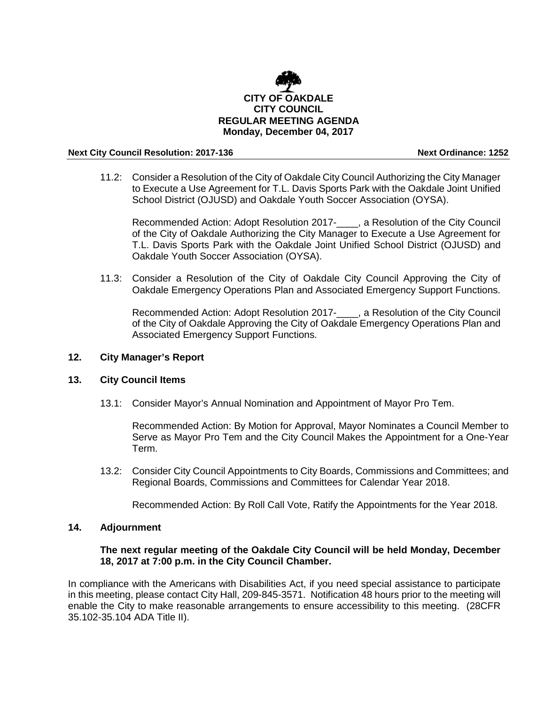

#### **Next City Council Resolution: 2017-136 Next Ordinance: 1252**

11.2: Consider a Resolution of the City of Oakdale City Council Authorizing the City Manager to Execute a Use Agreement for T.L. Davis Sports Park with the Oakdale Joint Unified School District (OJUSD) and Oakdale Youth Soccer Association (OYSA).

Recommended Action: Adopt Resolution 2017-\_\_\_\_, a Resolution of the City Council of the City of Oakdale Authorizing the City Manager to Execute a Use Agreement for T.L. Davis Sports Park with the Oakdale Joint Unified School District (OJUSD) and Oakdale Youth Soccer Association (OYSA).

11.3: Consider a Resolution of the City of Oakdale City Council Approving the City of Oakdale Emergency Operations Plan and Associated Emergency Support Functions.

Recommended Action: Adopt Resolution 2017-\_\_\_\_, a Resolution of the City Council of the City of Oakdale Approving the City of Oakdale Emergency Operations Plan and Associated Emergency Support Functions.

# **12. City Manager's Report**

# **13. City Council Items**

13.1: Consider Mayor's Annual Nomination and Appointment of Mayor Pro Tem.

Recommended Action: By Motion for Approval, Mayor Nominates a Council Member to Serve as Mayor Pro Tem and the City Council Makes the Appointment for a One-Year Term.

13.2: Consider City Council Appointments to City Boards, Commissions and Committees; and Regional Boards, Commissions and Committees for Calendar Year 2018.

Recommended Action: By Roll Call Vote, Ratify the Appointments for the Year 2018.

# **14. Adjournment**

# **The next regular meeting of the Oakdale City Council will be held Monday, December 18, 2017 at 7:00 p.m. in the City Council Chamber.**

In compliance with the Americans with Disabilities Act, if you need special assistance to participate in this meeting, please contact City Hall, 209-845-3571. Notification 48 hours prior to the meeting will enable the City to make reasonable arrangements to ensure accessibility to this meeting. (28CFR 35.102-35.104 ADA Title II).